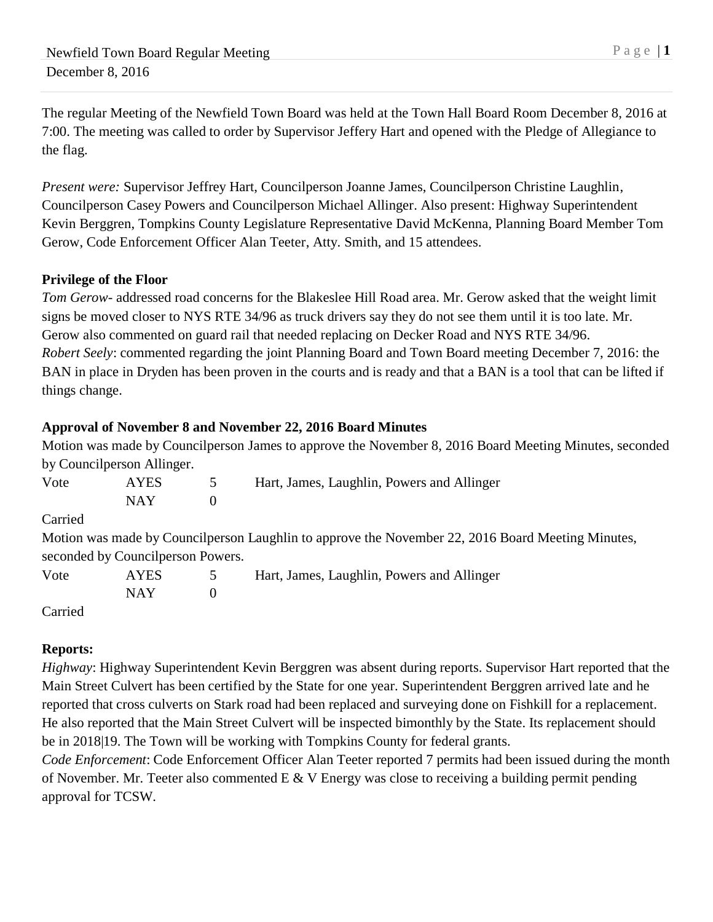The regular Meeting of the Newfield Town Board was held at the Town Hall Board Room December 8, 2016 at 7:00. The meeting was called to order by Supervisor Jeffery Hart and opened with the Pledge of Allegiance to the flag.

*Present were:* Supervisor Jeffrey Hart, Councilperson Joanne James, Councilperson Christine Laughlin, Councilperson Casey Powers and Councilperson Michael Allinger. Also present: Highway Superintendent Kevin Berggren, Tompkins County Legislature Representative David McKenna, Planning Board Member Tom Gerow, Code Enforcement Officer Alan Teeter, Atty. Smith, and 15 attendees.

# **Privilege of the Floor**

*Tom Gerow-* addressed road concerns for the Blakeslee Hill Road area. Mr. Gerow asked that the weight limit signs be moved closer to NYS RTE 34/96 as truck drivers say they do not see them until it is too late. Mr. Gerow also commented on guard rail that needed replacing on Decker Road and NYS RTE 34/96. *Robert Seely*: commented regarding the joint Planning Board and Town Board meeting December 7, 2016: the BAN in place in Dryden has been proven in the courts and is ready and that a BAN is a tool that can be lifted if things change.

# **Approval of November 8 and November 22, 2016 Board Minutes**

Motion was made by Councilperson James to approve the November 8, 2016 Board Meeting Minutes, seconded by Councilperson Allinger.

| Vote    | <b>AYES</b>                       | $\mathcal{D}$ | Hart, James, Laughlin, Powers and Allinger                                                        |
|---------|-----------------------------------|---------------|---------------------------------------------------------------------------------------------------|
|         | <b>NAY</b>                        | $\Omega$      |                                                                                                   |
| Carried |                                   |               |                                                                                                   |
|         |                                   |               | Motion was made by Councilperson Laughlin to approve the November 22, 2016 Board Meeting Minutes, |
|         | seconded by Councilperson Powers. |               |                                                                                                   |
| Vote    | <b>AYES</b>                       |               | Hart, James, Laughlin, Powers and Allinger                                                        |
|         | <b>NAY</b>                        | $\theta$      |                                                                                                   |
| Carried |                                   |               |                                                                                                   |

# **Reports:**

*Highway*: Highway Superintendent Kevin Berggren was absent during reports. Supervisor Hart reported that the Main Street Culvert has been certified by the State for one year. Superintendent Berggren arrived late and he reported that cross culverts on Stark road had been replaced and surveying done on Fishkill for a replacement. He also reported that the Main Street Culvert will be inspected bimonthly by the State. Its replacement should be in 2018|19. The Town will be working with Tompkins County for federal grants.

*Code Enforcement*: Code Enforcement Officer Alan Teeter reported 7 permits had been issued during the month of November. Mr. Teeter also commented  $E \& V$  Energy was close to receiving a building permit pending approval for TCSW.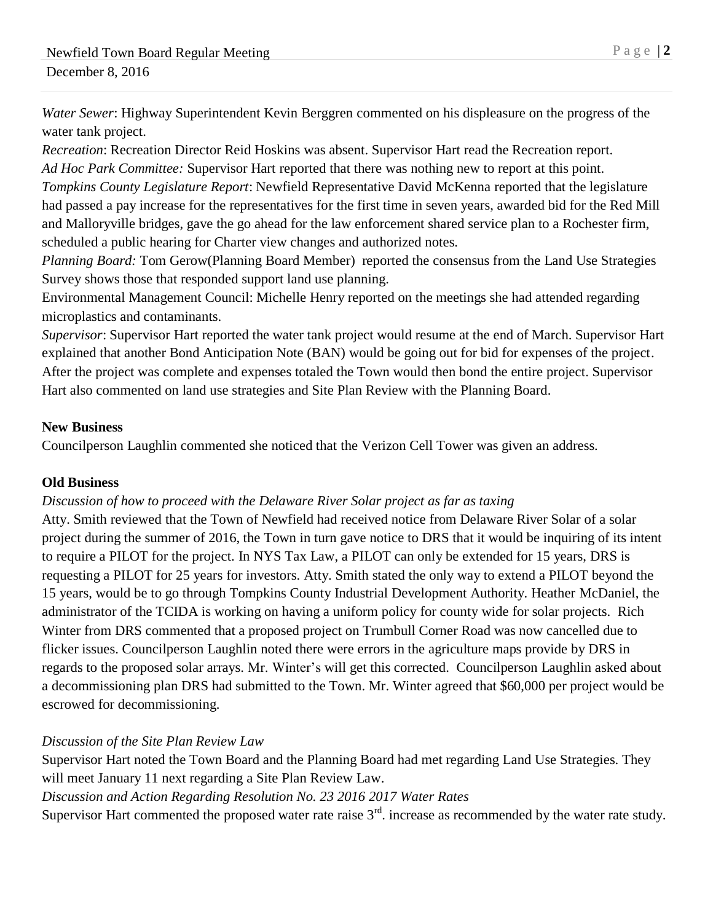*Water Sewer*: Highway Superintendent Kevin Berggren commented on his displeasure on the progress of the water tank project.

*Recreation*: Recreation Director Reid Hoskins was absent. Supervisor Hart read the Recreation report. *Ad Hoc Park Committee:* Supervisor Hart reported that there was nothing new to report at this point.

*Tompkins County Legislature Report*: Newfield Representative David McKenna reported that the legislature had passed a pay increase for the representatives for the first time in seven years, awarded bid for the Red Mill and Malloryville bridges, gave the go ahead for the law enforcement shared service plan to a Rochester firm, scheduled a public hearing for Charter view changes and authorized notes.

*Planning Board:* Tom Gerow(Planning Board Member) reported the consensus from the Land Use Strategies Survey shows those that responded support land use planning.

Environmental Management Council: Michelle Henry reported on the meetings she had attended regarding microplastics and contaminants.

*Supervisor*: Supervisor Hart reported the water tank project would resume at the end of March. Supervisor Hart explained that another Bond Anticipation Note (BAN) would be going out for bid for expenses of the project. After the project was complete and expenses totaled the Town would then bond the entire project. Supervisor Hart also commented on land use strategies and Site Plan Review with the Planning Board.

## **New Business**

Councilperson Laughlin commented she noticed that the Verizon Cell Tower was given an address*.* 

#### **Old Business**

#### *Discussion of how to proceed with the Delaware River Solar project as far as taxing*

Atty. Smith reviewed that the Town of Newfield had received notice from Delaware River Solar of a solar project during the summer of 2016, the Town in turn gave notice to DRS that it would be inquiring of its intent to require a PILOT for the project. In NYS Tax Law, a PILOT can only be extended for 15 years, DRS is requesting a PILOT for 25 years for investors. Atty. Smith stated the only way to extend a PILOT beyond the 15 years, would be to go through Tompkins County Industrial Development Authority. Heather McDaniel, the administrator of the TCIDA is working on having a uniform policy for county wide for solar projects. Rich Winter from DRS commented that a proposed project on Trumbull Corner Road was now cancelled due to flicker issues. Councilperson Laughlin noted there were errors in the agriculture maps provide by DRS in regards to the proposed solar arrays. Mr. Winter's will get this corrected. Councilperson Laughlin asked about a decommissioning plan DRS had submitted to the Town. Mr. Winter agreed that \$60,000 per project would be escrowed for decommissioning.

# *Discussion of the Site Plan Review Law*

Supervisor Hart noted the Town Board and the Planning Board had met regarding Land Use Strategies. They will meet January 11 next regarding a Site Plan Review Law.

*Discussion and Action Regarding Resolution No. 23 2016 2017 Water Rates*

Supervisor Hart commented the proposed water rate raise  $3<sup>rd</sup>$ . increase as recommended by the water rate study.